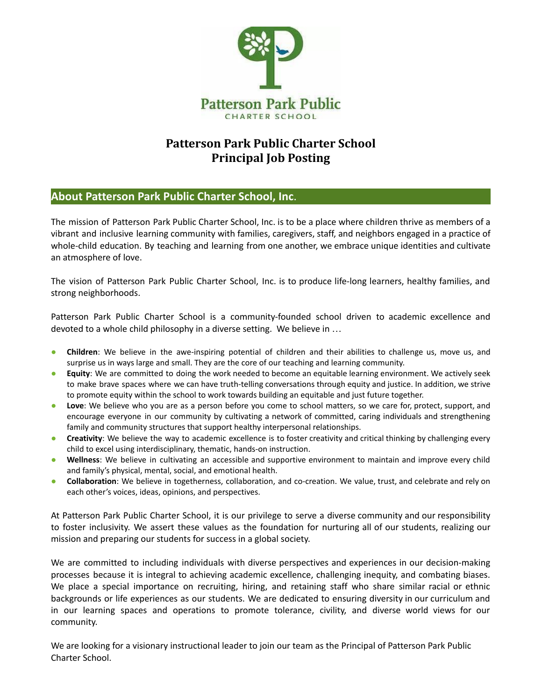

# **Patterson Park Public Charter School Principal Job Posting**

## **About Patterson Park Public Charter School, Inc**.

The mission of Patterson Park Public Charter School, Inc. is to be a place where children thrive as members of a vibrant and inclusive learning community with families, caregivers, staff, and neighbors engaged in a practice of whole-child education. By teaching and learning from one another, we embrace unique identities and cultivate an atmosphere of love.

The vision of Patterson Park Public Charter School, Inc. is to produce life-long learners, healthy families, and strong neighborhoods.

Patterson Park Public Charter School is a community-founded school driven to academic excellence and devoted to a whole child philosophy in a diverse setting. We believe in …

- **Children**: We believe in the awe-inspiring potential of children and their abilities to challenge us, move us, and surprise us in ways large and small. They are the core of our teaching and learning community.
- **Equity**: We are committed to doing the work needed to become an equitable learning environment. We actively seek to make brave spaces where we can have truth-telling conversations through equity and justice. In addition, we strive to promote equity within the school to work towards building an equitable and just future together.
- **Love**: We believe who you are as a person before you come to school matters, so we care for, protect, support, and encourage everyone in our community by cultivating a network of committed, caring individuals and strengthening family and community structures that support healthy interpersonal relationships.
- **Creativity**: We believe the way to academic excellence is to foster creativity and critical thinking by challenging every child to excel using interdisciplinary, thematic, hands-on instruction.
- **Wellness**: We believe in cultivating an accessible and supportive environment to maintain and improve every child and family's physical, mental, social, and emotional health.
- **Collaboration**: We believe in togetherness, collaboration, and co-creation. We value, trust, and celebrate and rely on each other's voices, ideas, opinions, and perspectives.

At Patterson Park Public Charter School, it is our privilege to serve a diverse community and our responsibility to foster inclusivity. We assert these values as the foundation for nurturing all of our students, realizing our mission and preparing our students for success in a global society.

We are committed to including individuals with diverse perspectives and experiences in our decision-making processes because it is integral to achieving academic excellence, challenging inequity, and combating biases. We place a special importance on recruiting, hiring, and retaining staff who share similar racial or ethnic backgrounds or life experiences as our students. We are dedicated to ensuring diversity in our curriculum and in our learning spaces and operations to promote tolerance, civility, and diverse world views for our community.

We are looking for a visionary instructional leader to join our team as the Principal of Patterson Park Public Charter School.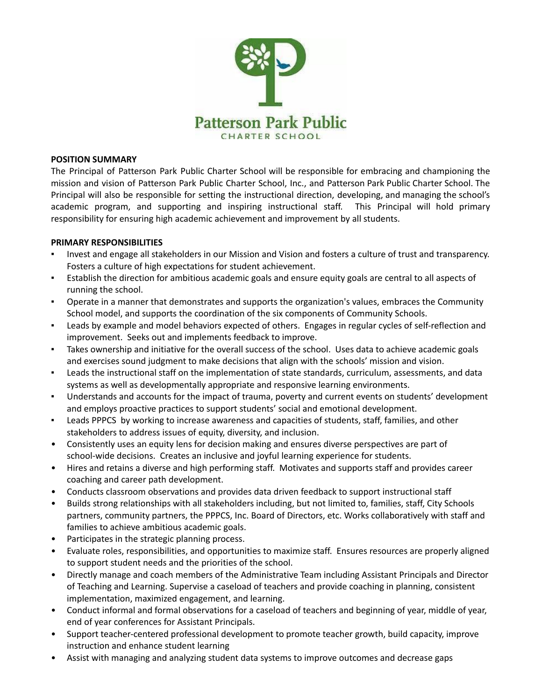

#### **POSITION SUMMARY**

The Principal of Patterson Park Public Charter School will be responsible for embracing and championing the mission and vision of Patterson Park Public Charter School, Inc., and Patterson Park Public Charter School. The Principal will also be responsible for setting the instructional direction, developing, and managing the school's academic program, and supporting and inspiring instructional staff. This Principal will hold primary responsibility for ensuring high academic achievement and improvement by all students.

#### **PRIMARY RESPONSIBILITIES**

- Invest and engage all stakeholders in our Mission and Vision and fosters a culture of trust and transparency. Fosters a culture of high expectations for student achievement.
- Establish the direction for ambitious academic goals and ensure equity goals are central to all aspects of running the school.
- Operate in a manner that demonstrates and supports the organization's values, embraces the Community School model, and supports the coordination of the six components of Community Schools.
- Leads by example and model behaviors expected of others. Engages in regular cycles of self-reflection and improvement. Seeks out and implements feedback to improve.
- Takes ownership and initiative for the overall success of the school. Uses data to achieve academic goals and exercises sound judgment to make decisions that align with the schools' mission and vision.
- Leads the instructional staff on the implementation of state standards, curriculum, assessments, and data systems as well as developmentally appropriate and responsive learning environments.
- Understands and accounts for the impact of trauma, poverty and current events on students' development and employs proactive practices to support students' social and emotional development.
- Leads PPPCS by working to increase awareness and capacities of students, staff, families, and other stakeholders to address issues of equity, diversity, and inclusion.
- Consistently uses an equity lens for decision making and ensures diverse perspectives are part of school-wide decisions. Creates an inclusive and joyful learning experience for students.
- Hires and retains a diverse and high performing staff. Motivates and supports staff and provides career coaching and career path development.
- Conducts classroom observations and provides data driven feedback to support instructional staff
- Builds strong relationships with all stakeholders including, but not limited to, families, staff, City Schools partners, community partners, the PPPCS, Inc. Board of Directors, etc. Works collaboratively with staff and families to achieve ambitious academic goals.
- Participates in the strategic planning process.
- Evaluate roles, responsibilities, and opportunities to maximize staff. Ensures resources are properly aligned to support student needs and the priorities of the school.
- Directly manage and coach members of the Administrative Team including Assistant Principals and Director of Teaching and Learning. Supervise a caseload of teachers and provide coaching in planning, consistent implementation, maximized engagement, and learning.
- Conduct informal and formal observations for a caseload of teachers and beginning of year, middle of year, end of year conferences for Assistant Principals.
- Support teacher-centered professional development to promote teacher growth, build capacity, improve instruction and enhance student learning
- Assist with managing and analyzing student data systems to improve outcomes and decrease gaps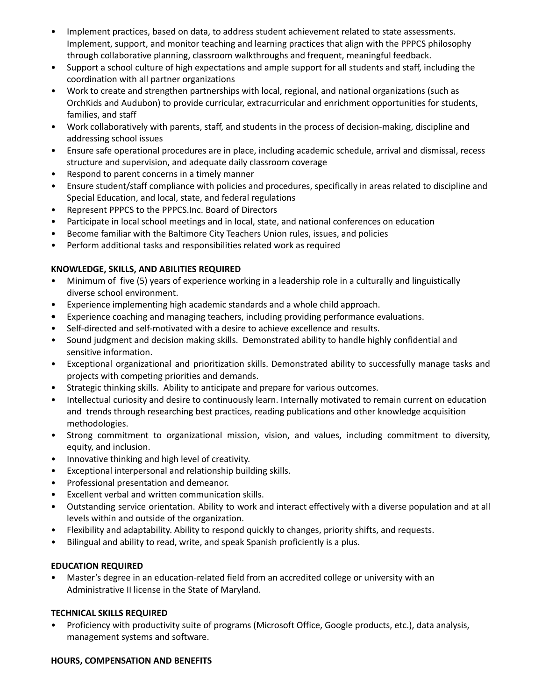- Implement practices, based on data, to address student achievement related to state assessments. Implement, support, and monitor teaching and learning practices that align with the PPPCS philosophy through collaborative planning, classroom walkthroughs and frequent, meaningful feedback.
- Support a school culture of high expectations and ample support for all students and staff, including the coordination with all partner organizations
- Work to create and strengthen partnerships with local, regional, and national organizations (such as OrchKids and Audubon) to provide curricular, extracurricular and enrichment opportunities for students, families, and staff
- Work collaboratively with parents, staff, and students in the process of decision-making, discipline and addressing school issues
- Ensure safe operational procedures are in place, including academic schedule, arrival and dismissal, recess structure and supervision, and adequate daily classroom coverage
- Respond to parent concerns in a timely manner
- Ensure student/staff compliance with policies and procedures, specifically in areas related to discipline and Special Education, and local, state, and federal regulations
- Represent PPPCS to the PPPCS.Inc. Board of Directors
- Participate in local school meetings and in local, state, and national conferences on education
- Become familiar with the Baltimore City Teachers Union rules, issues, and policies
- Perform additional tasks and responsibilities related work as required

## **KNOWLEDGE, SKILLS, AND ABILITIES REQUIRED**

- Minimum of five (5) years of experience working in a leadership role in a culturally and linguistically diverse school environment.
- Experience implementing high academic standards and a whole child approach.
- **•** Experience coaching and managing teachers, including providing performance evaluations.
- Self-directed and self-motivated with a desire to achieve excellence and results.
- Sound judgment and decision making skills. Demonstrated ability to handle highly confidential and sensitive information.
- Exceptional organizational and prioritization skills. Demonstrated ability to successfully manage tasks and projects with competing priorities and demands.
- Strategic thinking skills. Ability to anticipate and prepare for various outcomes.
- Intellectual curiosity and desire to continuously learn. Internally motivated to remain current on education and trends through researching best practices, reading publications and other knowledge acquisition methodologies.
- Strong commitment to organizational mission, vision, and values, including commitment to diversity, equity, and inclusion.
- Innovative thinking and high level of creativity.
- Exceptional interpersonal and relationship building skills.
- Professional presentation and demeanor.
- Excellent verbal and written communication skills.
- Outstanding service orientation. Ability to work and interact effectively with a diverse population and at all levels within and outside of the organization.
- Flexibility and adaptability. Ability to respond quickly to changes, priority shifts, and requests.
- Bilingual and ability to read, write, and speak Spanish proficiently is a plus.

## **EDUCATION REQUIRED**

• Master's degree in an education-related field from an accredited college or university with an Administrative II license in the State of Maryland.

## **TECHNICAL SKILLS REQUIRED**

• Proficiency with productivity suite of programs (Microsoft Office, Google products, etc.), data analysis, management systems and software.

#### **HOURS, COMPENSATION AND BENEFITS**